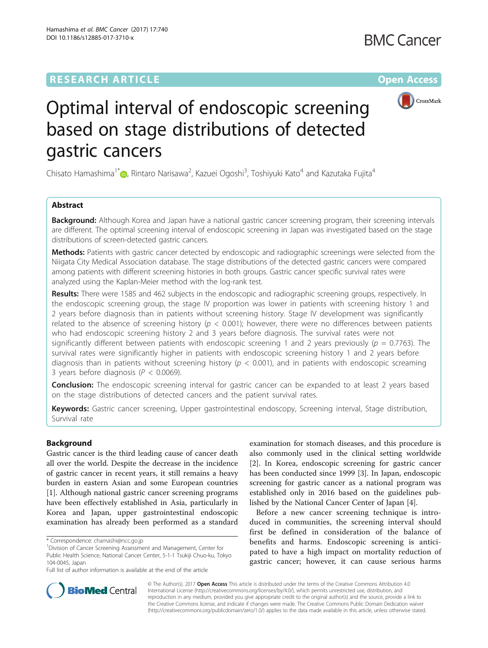## **RESEARCH ARTICLE Example 2014 12:30 The Community Community Community Community Community Community Community**



# Optimal interval of endoscopic screening based on stage distributions of detected gastric cancers

Chisato Hamashima $^{\text{1*}}$  $^{\text{1*}}$  $^{\text{1*}}$  (D, Rintaro Narisawa $^{\text{2}}$ , Kazuei Ogoshi $^{\text{3}}$ , Toshiyuki Kato $^{\text{4}}$  and Kazutaka Fujita $^{\text{4}}$ 

## Abstract

Background: Although Korea and Japan have a national gastric cancer screening program, their screening intervals are different. The optimal screening interval of endoscopic screening in Japan was investigated based on the stage distributions of screen-detected gastric cancers.

Methods: Patients with gastric cancer detected by endoscopic and radiographic screenings were selected from the Niigata City Medical Association database. The stage distributions of the detected gastric cancers were compared among patients with different screening histories in both groups. Gastric cancer specific survival rates were analyzed using the Kaplan-Meier method with the log-rank test.

Results: There were 1585 and 462 subjects in the endoscopic and radiographic screening groups, respectively. In the endoscopic screening group, the stage IV proportion was lower in patients with screening history 1 and 2 years before diagnosis than in patients without screening history. Stage IV development was significantly related to the absence of screening history ( $p < 0.001$ ); however, there were no differences between patients who had endoscopic screening history 2 and 3 years before diagnosis. The survival rates were not significantly different between patients with endoscopic screening 1 and 2 years previously ( $p = 0.7763$ ). The survival rates were significantly higher in patients with endoscopic screening history 1 and 2 years before diagnosis than in patients without screening history ( $p < 0.001$ ), and in patients with endoscopic screaming 3 years before diagnosis ( $P < 0.0069$ ).

**Conclusion:** The endoscopic screening interval for gastric cancer can be expanded to at least 2 years based on the stage distributions of detected cancers and the patient survival rates.

Keywords: Gastric cancer screening, Upper gastrointestinal endoscopy, Screening interval, Stage distribution, Survival rate

## Background

Gastric cancer is the third leading cause of cancer death all over the world. Despite the decrease in the incidence of gastric cancer in recent years, it still remains a heavy burden in eastern Asian and some European countries [[1\]](#page-7-0). Although national gastric cancer screening programs have been effectively established in Asia, particularly in Korea and Japan, upper gastrointestinal endoscopic examination has already been performed as a standard examination for stomach diseases, and this procedure is also commonly used in the clinical setting worldwide [[2\]](#page-7-0). In Korea, endoscopic screening for gastric cancer has been conducted since 1999 [[3\]](#page-7-0). In Japan, endoscopic screening for gastric cancer as a national program was established only in 2016 based on the guidelines published by the National Cancer Center of Japan [[4\]](#page-7-0).

Before a new cancer screening technique is introduced in communities, the screening interval should first be defined in consideration of the balance of benefits and harms. Endoscopic screening is anticipated to have a high impact on mortality reduction of gastric cancer; however, it can cause serious harms



© The Author(s). 2017 **Open Access** This article is distributed under the terms of the Creative Commons Attribution 4.0 International License [\(http://creativecommons.org/licenses/by/4.0/](http://creativecommons.org/licenses/by/4.0/)), which permits unrestricted use, distribution, and reproduction in any medium, provided you give appropriate credit to the original author(s) and the source, provide a link to the Creative Commons license, and indicate if changes were made. The Creative Commons Public Domain Dedication waiver [\(http://creativecommons.org/publicdomain/zero/1.0/](http://creativecommons.org/publicdomain/zero/1.0/)) applies to the data made available in this article, unless otherwise stated.

<sup>\*</sup> Correspondence: [chamashi@ncc.go.jp](mailto:chamashi@ncc.go.jp) <sup>1</sup>

<sup>&</sup>lt;sup>1</sup> Division of Cancer Screening Assessment and Management, Center for Public Health Science, National Cancer Center, 5-1-1 Tsukiji Chuo-ku, Tokyo 104-0045, Japan

Full list of author information is available at the end of the article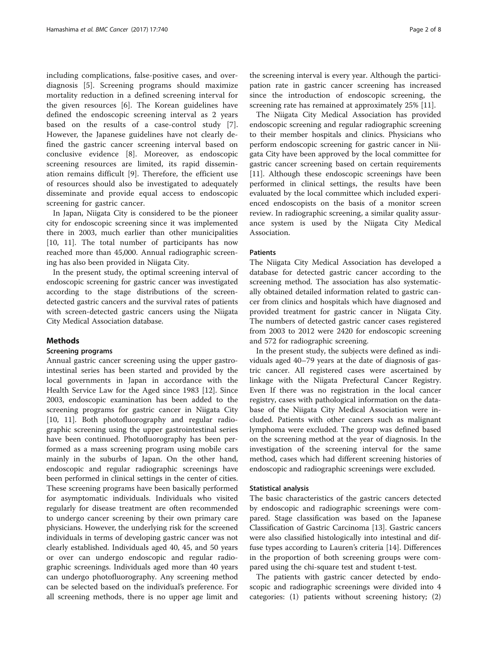including complications, false-positive cases, and overdiagnosis [[5\]](#page-7-0). Screening programs should maximize mortality reduction in a defined screening interval for the given resources [[6\]](#page-7-0). The Korean guidelines have defined the endoscopic screening interval as 2 years based on the results of a case-control study [\[7](#page-7-0)]. However, the Japanese guidelines have not clearly defined the gastric cancer screening interval based on conclusive evidence [[8\]](#page-7-0). Moreover, as endoscopic screening resources are limited, its rapid dissemination remains difficult [\[9](#page-7-0)]. Therefore, the efficient use of resources should also be investigated to adequately disseminate and provide equal access to endoscopic screening for gastric cancer.

In Japan, Niigata City is considered to be the pioneer city for endoscopic screening since it was implemented there in 2003, much earlier than other municipalities [[10, 11\]](#page-7-0). The total number of participants has now reached more than 45,000. Annual radiographic screening has also been provided in Niigata City.

In the present study, the optimal screening interval of endoscopic screening for gastric cancer was investigated according to the stage distributions of the screendetected gastric cancers and the survival rates of patients with screen-detected gastric cancers using the Niigata City Medical Association database.

#### Methods

#### Screening programs

Annual gastric cancer screening using the upper gastrointestinal series has been started and provided by the local governments in Japan in accordance with the Health Service Law for the Aged since 1983 [[12\]](#page-7-0). Since 2003, endoscopic examination has been added to the screening programs for gastric cancer in Niigata City [[10, 11](#page-7-0)]. Both photofluorography and regular radiographic screening using the upper gastrointestinal series have been continued. Photofluorography has been performed as a mass screening program using mobile cars mainly in the suburbs of Japan. On the other hand, endoscopic and regular radiographic screenings have been performed in clinical settings in the center of cities. These screening programs have been basically performed for asymptomatic individuals. Individuals who visited regularly for disease treatment are often recommended to undergo cancer screening by their own primary care physicians. However, the underlying risk for the screened individuals in terms of developing gastric cancer was not clearly established. Individuals aged 40, 45, and 50 years or over can undergo endoscopic and regular radiographic screenings. Individuals aged more than 40 years can undergo photofluorography. Any screening method can be selected based on the individual's preference. For all screening methods, there is no upper age limit and

the screening interval is every year. Although the participation rate in gastric cancer screening has increased since the introduction of endoscopic screening, the screening rate has remained at approximately 25% [\[11\]](#page-7-0).

The Niigata City Medical Association has provided endoscopic screening and regular radiographic screening to their member hospitals and clinics. Physicians who perform endoscopic screening for gastric cancer in Niigata City have been approved by the local committee for gastric cancer screening based on certain requirements [[11\]](#page-7-0). Although these endoscopic screenings have been performed in clinical settings, the results have been evaluated by the local committee which included experienced endoscopists on the basis of a monitor screen review. In radiographic screening, a similar quality assurance system is used by the Niigata City Medical Association.

#### Patients

The Niigata City Medical Association has developed a database for detected gastric cancer according to the screening method. The association has also systematically obtained detailed information related to gastric cancer from clinics and hospitals which have diagnosed and provided treatment for gastric cancer in Niigata City. The numbers of detected gastric cancer cases registered from 2003 to 2012 were 2420 for endoscopic screening and 572 for radiographic screening.

In the present study, the subjects were defined as individuals aged 40–79 years at the date of diagnosis of gastric cancer. All registered cases were ascertained by linkage with the Niigata Prefectural Cancer Registry. Even If there was no registration in the local cancer registry, cases with pathological information on the database of the Niigata City Medical Association were included. Patients with other cancers such as malignant lymphoma were excluded. The group was defined based on the screening method at the year of diagnosis. In the investigation of the screening interval for the same method, cases which had different screening histories of endoscopic and radiographic screenings were excluded.

#### Statistical analysis

The basic characteristics of the gastric cancers detected by endoscopic and radiographic screenings were compared. Stage classification was based on the Japanese Classification of Gastric Carcinoma [\[13\]](#page-7-0). Gastric cancers were also classified histologically into intestinal and diffuse types according to Lauren's criteria [\[14](#page-7-0)]. Differences in the proportion of both screening groups were compared using the chi-square test and student t-test.

The patients with gastric cancer detected by endoscopic and radiographic screenings were divided into 4 categories: (1) patients without screening history; (2)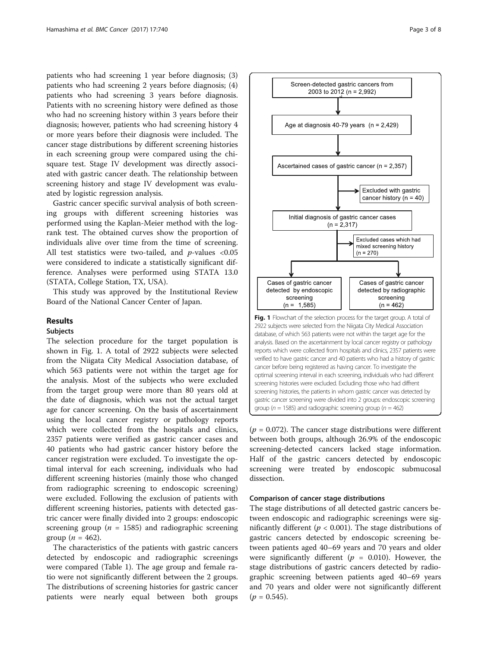patients who had screening 1 year before diagnosis; (3) patients who had screening 2 years before diagnosis; (4) patients who had screening 3 years before diagnosis. Patients with no screening history were defined as those who had no screening history within 3 years before their diagnosis; however, patients who had screening history 4 or more years before their diagnosis were included. The cancer stage distributions by different screening histories in each screening group were compared using the chisquare test. Stage IV development was directly associated with gastric cancer death. The relationship between screening history and stage IV development was evaluated by logistic regression analysis.

Gastric cancer specific survival analysis of both screening groups with different screening histories was performed using the Kaplan-Meier method with the logrank test. The obtained curves show the proportion of individuals alive over time from the time of screening. All test statistics were two-tailed, and  $p$ -values <0.05 were considered to indicate a statistically significant difference. Analyses were performed using STATA 13.0 (STATA, College Station, TX, USA).

This study was approved by the Institutional Review Board of the National Cancer Center of Japan.

#### Results

#### Subjects

The selection procedure for the target population is shown in Fig. 1. A total of 2922 subjects were selected from the Niigata City Medical Association database, of which 563 patients were not within the target age for the analysis. Most of the subjects who were excluded from the target group were more than 80 years old at the date of diagnosis, which was not the actual target age for cancer screening. On the basis of ascertainment using the local cancer registry or pathology reports which were collected from the hospitals and clinics, 2357 patients were verified as gastric cancer cases and 40 patients who had gastric cancer history before the cancer registration were excluded. To investigate the optimal interval for each screening, individuals who had different screening histories (mainly those who changed from radiographic screening to endoscopic screening) were excluded. Following the exclusion of patients with different screening histories, patients with detected gastric cancer were finally divided into 2 groups: endoscopic screening group ( $n = 1585$ ) and radiographic screening group ( $n = 462$ ).

The characteristics of the patients with gastric cancers detected by endoscopic and radiographic screenings were compared (Table [1](#page-3-0)). The age group and female ratio were not significantly different between the 2 groups. The distributions of screening histories for gastric cancer patients were nearly equal between both groups



Screen-detected gastric cancers from 2003 to 2012 (n = 2,992)

 $(p = 0.072)$ . The cancer stage distributions were different between both groups, although 26.9% of the endoscopic screening-detected cancers lacked stage information. Half of the gastric cancers detected by endoscopic screening were treated by endoscopic submucosal dissection.

#### Comparison of cancer stage distributions

The stage distributions of all detected gastric cancers between endoscopic and radiographic screenings were significantly different ( $p < 0.001$ ). The stage distributions of gastric cancers detected by endoscopic screening between patients aged 40–69 years and 70 years and older were significantly different ( $p = 0.010$ ). However, the stage distributions of gastric cancers detected by radiographic screening between patients aged 40–69 years and 70 years and older were not significantly different  $(p = 0.545).$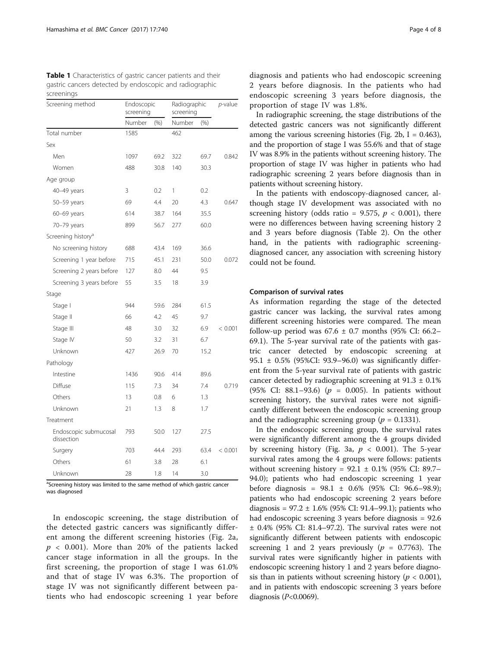<span id="page-3-0"></span>

| Table 1 Characteristics of gastric cancer patients and their |
|--------------------------------------------------------------|
| gastric cancers detected by endoscopic and radiographic      |
| screenings                                                   |

| Screening method                    | Endoscopic<br>screening |      | Radiographic<br>screening |      | $p$ -value |
|-------------------------------------|-------------------------|------|---------------------------|------|------------|
|                                     | Number                  | (% ) | Number                    | (% ) |            |
| Total number                        | 1585                    |      | 462                       |      |            |
| Sex                                 |                         |      |                           |      |            |
| Men                                 | 1097                    | 69.2 | 322                       | 69.7 | 0.842      |
| Women                               | 488                     | 30.8 | 140                       | 30.3 |            |
| Age group                           |                         |      |                           |      |            |
| 40-49 years                         | 3                       | 0.2  | 1                         | 0.2  |            |
| 50-59 years                         | 69                      | 4.4  | 20                        | 4.3  | 0.647      |
| 60-69 years                         | 614                     | 38.7 | 164                       | 35.5 |            |
| 70-79 years                         | 899                     | 56.7 | 277                       | 60.0 |            |
| Screening history <sup>a</sup>      |                         |      |                           |      |            |
| No screening history                | 688                     | 43.4 | 169                       | 36.6 |            |
| Screening 1 year before             | 715                     | 45.1 | 231                       | 50.0 | 0.072      |
| Screening 2 years before            | 127                     | 8.0  | 44                        | 9.5  |            |
| Screening 3 years before            | 55                      | 3.5  | 18                        | 3.9  |            |
| Stage                               |                         |      |                           |      |            |
| Stage I                             | 944                     | 59.6 | 284                       | 61.5 |            |
| Stage II                            | 66                      | 4.2  | 45                        | 9.7  |            |
| Stage III                           | 48                      | 3.0  | 32                        | 6.9  | < 0.001    |
| Stage IV                            | 50                      | 3.2  | 31                        | 6.7  |            |
| Unknown                             | 427                     | 26.9 | 70                        | 15.2 |            |
| Pathology                           |                         |      |                           |      |            |
| Intestine                           | 1436                    | 90.6 | 414                       | 89.6 |            |
| Diffuse                             | 115                     | 7.3  | 34                        | 7.4  | 0.719      |
| Others                              | 13                      | 0.8  | 6                         | 1.3  |            |
| Unknown                             | 21                      | 1.3  | 8                         | 1.7  |            |
| Treatment                           |                         |      |                           |      |            |
| Endoscopic submucosal<br>dissection | 793                     | 50.0 | 127                       | 27.5 |            |
| Surgery                             | 703                     | 44.4 | 293                       | 63.4 | < 0.001    |
| Others                              | 61                      | 3.8  | 28                        | 6.1  |            |
| Unknown                             | 28                      | 1.8  | 14                        | 3.0  |            |

<sup>a</sup>Screening history was limited to the same method of which gastric cancer was diagnosed

In endoscopic screening, the stage distribution of the detected gastric cancers was significantly different among the different screening histories (Fig. [2a](#page-4-0),  $p \sim 0.001$ ). More than 20% of the patients lacked cancer stage information in all the groups. In the first screening, the proportion of stage I was 61.0% and that of stage IV was 6.3%. The proportion of stage IV was not significantly different between patients who had endoscopic screening 1 year before

diagnosis and patients who had endoscopic screening 2 years before diagnosis. In the patients who had endoscopic screening 3 years before diagnosis, the proportion of stage IV was 1.8%.

In radiographic screening, the stage distributions of the detected gastric cancers was not significantly different among the various screening histories (Fig. [2b](#page-4-0),  $I = 0.463$ ), and the proportion of stage I was 55.6% and that of stage IV was 8.9% in the patients without screening history. The proportion of stage IV was higher in patients who had radiographic screening 2 years before diagnosis than in patients without screening history.

In the patients with endoscopy-diagnosed cancer, although stage IV development was associated with no screening history (odds ratio = 9.575,  $p < 0.001$ ), there were no differences between having screening history 2 and 3 years before diagnosis (Table [2\)](#page-5-0). On the other hand, in the patients with radiographic screeningdiagnosed cancer, any association with screening history could not be found.

#### Comparison of survival rates

As information regarding the stage of the detected gastric cancer was lacking, the survival rates among different screening histories were compared. The mean follow-up period was  $67.6 \pm 0.7$  months (95% CI: 66.2– 69.1). The 5-year survival rate of the patients with gastric cancer detected by endoscopic screening at 95.1 ± 0.5% (95%CI: 93.9–96.0) was significantly different from the 5-year survival rate of patients with gastric cancer detected by radiographic screening at  $91.3 \pm 0.1\%$ (95% CI: 88.1–93.6) ( $p = 0.005$ ). In patients without screening history, the survival rates were not significantly different between the endoscopic screening group and the radiographic screening group ( $p = 0.1331$ ).

In the endoscopic screening group, the survival rates were significantly different among the 4 groups divided by screening history (Fig. [3a](#page-6-0),  $p < 0.001$ ). The 5-year survival rates among the 4 groups were follows: patients without screening history =  $92.1 \pm 0.1\%$  (95% CI: 89.7– 94.0); patients who had endoscopic screening 1 year before diagnosis = 98.1 ± 0.6% (95% CI: 96.6–98.9); patients who had endoscopic screening 2 years before diagnosis =  $97.2 \pm 1.6\%$  (95% CI: 91.4–99.1); patients who had endoscopic screening 3 years before diagnosis = 92.6 ± 0.4% (95% CI: 81.4–97.2). The survival rates were not significantly different between patients with endoscopic screening 1 and 2 years previously ( $p = 0.7763$ ). The survival rates were significantly higher in patients with endoscopic screening history 1 and 2 years before diagnosis than in patients without screening history ( $p < 0.001$ ), and in patients with endoscopic screening 3 years before diagnosis  $(P<0.0069)$ .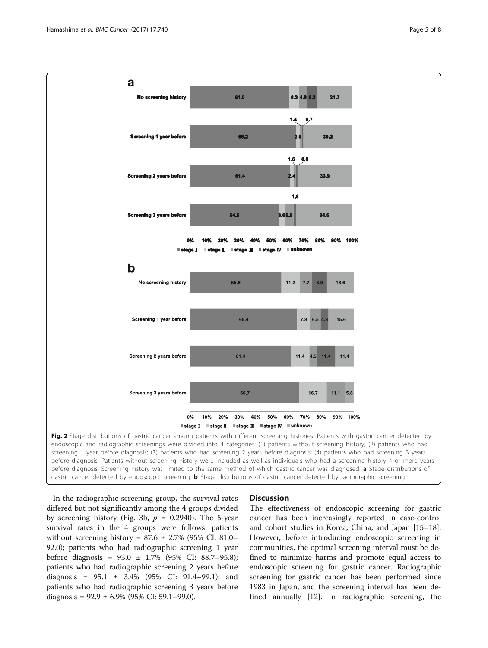<span id="page-4-0"></span>

before diagnosis. Screening history was limited to the same method of which gastric cancer was diagnosed. **a** Stage distributions of gastric cancer detected by endoscopic screening. **b** Stage distributions of gastric cancer detected by radiographic screening

In the radiographic screening group, the survival rates differed but not significantly among the 4 groups divided by screening history (Fig. [3b,](#page-6-0)  $p = 0.2940$ ). The 5-year survival rates in the 4 groups were follows: patients without screening history =  $87.6 \pm 2.7\%$  (95% CI: 81.0– 92.0); patients who had radiographic screening 1 year before diagnosis = 93.0 ± 1.7% (95% CI: 88.7–95.8); patients who had radiographic screening 2 years before diagnosis =  $95.1 \pm 3.4\%$  (95% CI: 91.4–99.1); and patients who had radiographic screening 3 years before diagnosis =  $92.9 \pm 6.9\%$  (95% CI: 59.1–99.0).

#### **Discussion**

The effectiveness of endoscopic screening for gastric cancer has been increasingly reported in case-control and cohort studies in Korea, China, and Japan [[15](#page-7-0)–[18](#page-7-0)]. However, before introducing endoscopic screening in communities, the optimal screening interval must be defined to minimize harms and promote equal access to endoscopic screening for gastric cancer. Radiographic screening for gastric cancer has been performed since 1983 in Japan, and the screening interval has been defined annually [\[12](#page-7-0)]. In radiographic screening, the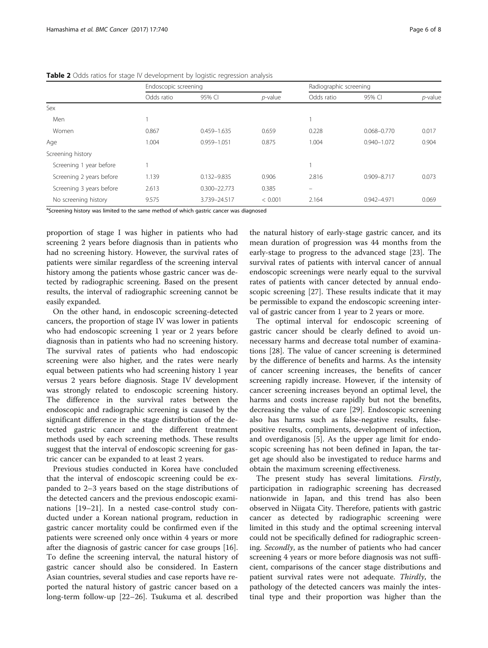|                          | $\sim$     |                      |            |            |                        |            |  |  |  |
|--------------------------|------------|----------------------|------------|------------|------------------------|------------|--|--|--|
|                          |            | Endoscopic screening |            |            | Radiographic screening |            |  |  |  |
|                          | Odds ratio | 95% CI               | $p$ -value | Odds ratio | 95% CI                 | $p$ -value |  |  |  |
| Sex                      |            |                      |            |            |                        |            |  |  |  |
| Men                      |            |                      |            |            |                        |            |  |  |  |
| Women                    | 0.867      | 0.459-1.635          | 0.659      | 0.228      | 0.068-0.770            | 0.017      |  |  |  |
| Age                      | 1.004      | 0.959-1.051          | 0.875      | 1.004      | $0.940 - 1.072$        | 0.904      |  |  |  |
| Screening history        |            |                      |            |            |                        |            |  |  |  |
| Screening 1 year before  |            |                      |            |            |                        |            |  |  |  |
| Screening 2 years before | 1.139      | 0.132-9.835          | 0.906      | 2.816      | 0.909-8.717            | 0.073      |  |  |  |
| Screening 3 years before | 2.613      | $0.300 - 22.773$     | 0.385      | -          |                        |            |  |  |  |
| No screening history     | 9.575      | 3.739-24.517         | < 0.001    | 2.164      | 0.942-4.971            | 0.069      |  |  |  |

<span id="page-5-0"></span>Table 2 Odds ratios for stage IV development by logistic regression analysis

<sup>a</sup>Screening history was limited to the same method of which gastric cancer was diagnosed

proportion of stage I was higher in patients who had screening 2 years before diagnosis than in patients who had no screening history. However, the survival rates of patients were similar regardless of the screening interval history among the patients whose gastric cancer was detected by radiographic screening. Based on the present results, the interval of radiographic screening cannot be easily expanded.

On the other hand, in endoscopic screening-detected cancers, the proportion of stage IV was lower in patients who had endoscopic screening 1 year or 2 years before diagnosis than in patients who had no screening history. The survival rates of patients who had endoscopic screening were also higher, and the rates were nearly equal between patients who had screening history 1 year versus 2 years before diagnosis. Stage IV development was strongly related to endoscopic screening history. The difference in the survival rates between the endoscopic and radiographic screening is caused by the significant difference in the stage distribution of the detected gastric cancer and the different treatment methods used by each screening methods. These results suggest that the interval of endoscopic screening for gastric cancer can be expanded to at least 2 years.

Previous studies conducted in Korea have concluded that the interval of endoscopic screening could be expanded to 2–3 years based on the stage distributions of the detected cancers and the previous endoscopic examinations [\[19](#page-7-0)–[21\]](#page-7-0). In a nested case-control study conducted under a Korean national program, reduction in gastric cancer mortality could be confirmed even if the patients were screened only once within 4 years or more after the diagnosis of gastric cancer for case groups [\[16](#page-7-0)]. To define the screening interval, the natural history of gastric cancer should also be considered. In Eastern Asian countries, several studies and case reports have reported the natural history of gastric cancer based on a long-term follow-up [[22](#page-7-0)–[26](#page-7-0)]. Tsukuma et al. described

the natural history of early-stage gastric cancer, and its mean duration of progression was 44 months from the early-stage to progress to the advanced stage [\[23\]](#page-7-0). The survival rates of patients with interval cancer of annual endoscopic screenings were nearly equal to the survival rates of patients with cancer detected by annual endoscopic screening [\[27](#page-7-0)]. These results indicate that it may be permissible to expand the endoscopic screening interval of gastric cancer from 1 year to 2 years or more.

The optimal interval for endoscopic screening of gastric cancer should be clearly defined to avoid unnecessary harms and decrease total number of examinations [[28\]](#page-7-0). The value of cancer screening is determined by the difference of benefits and harms. As the intensity of cancer screening increases, the benefits of cancer screening rapidly increase. However, if the intensity of cancer screening increases beyond an optimal level, the harms and costs increase rapidly but not the benefits, decreasing the value of care [[29\]](#page-7-0). Endoscopic screening also has harms such as false-negative results, falsepositive results, compliments, development of infection, and overdiganosis [[5\]](#page-7-0). As the upper age limit for endoscopic screening has not been defined in Japan, the target age should also be investigated to reduce harms and obtain the maximum screening effectiveness.

The present study has several limitations. Firstly, participation in radiographic screening has decreased nationwide in Japan, and this trend has also been observed in Niigata City. Therefore, patients with gastric cancer as detected by radiographic screening were limited in this study and the optimal screening interval could not be specifically defined for radiographic screening. Secondly, as the number of patients who had cancer screening 4 years or more before diagnosis was not sufficient, comparisons of the cancer stage distributions and patient survival rates were not adequate. Thirdly, the pathology of the detected cancers was mainly the intestinal type and their proportion was higher than the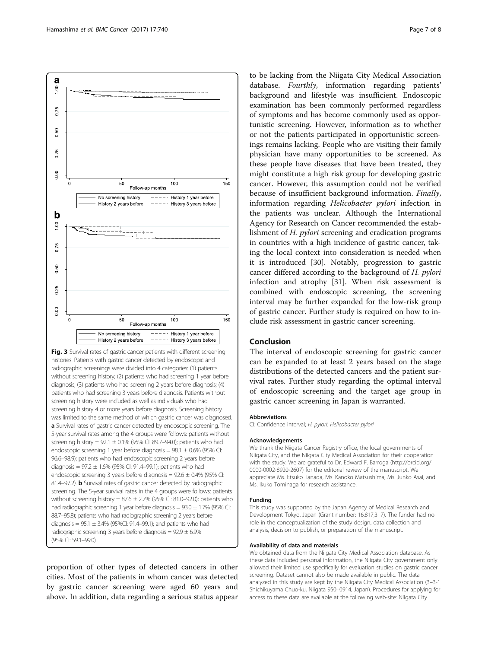<span id="page-6-0"></span>

a Survival rates of gastric cancer detected by endoscopic screening. The 5-year survival rates among the 4 groups were follows: patients without screening history =  $92.1 \pm 0.1\%$  (95% CI: 89.7–94.0); patients who had endoscopic screening 1 year before diagnosis =  $98.1 \pm 0.6$ % (95% CI: 96.6–98.9); patients who had endoscopic screening 2 years before diagnosis =  $97.2 \pm 1.6$ % (95% CI: 91.4–99.1); patients who had endoscopic screening 3 years before diagnosis =  $92.6 \pm 0.4\%$  (95% CI: 81.4–97.2). **b** Survival rates of gastric cancer detected by radiographic screening. The 5-year survival rates in the 4 groups were follows: patients without screening history =  $87.6 \pm 2.7\%$  (95% CI: 81.0–92.0); patients who had radiographic screening 1 year before diagnosis =  $93.0 \pm 1.7$ % (95% CI: 88.7–95.8); patients who had radiographic screening 2 years before diagnosis =  $95.1 \pm 3.4\%$  (95%CI: 91.4–99.1); and patients who had radiographic screening 3 years before diagnosis =  $92.9 \pm 6.9\%$ 

(95% CI: 59.1–99.0)

proportion of other types of detected cancers in other cities. Most of the patients in whom cancer was detected by gastric cancer screening were aged 60 years and above. In addition, data regarding a serious status appear

to be lacking from the Niigata City Medical Association database. Fourthly, information regarding patients' background and lifestyle was insufficient. Endoscopic examination has been commonly performed regardless of symptoms and has become commonly used as opportunistic screening. However, information as to whether or not the patients participated in opportunistic screenings remains lacking. People who are visiting their family physician have many opportunities to be screened. As these people have diseases that have been treated, they might constitute a high risk group for developing gastric cancer. However, this assumption could not be verified because of insufficient background information. Finally, information regarding Helicobacter pylori infection in the patients was unclear. Although the International Agency for Research on Cancer recommended the establishment of H. pylori screening and eradication programs in countries with a high incidence of gastric cancer, taking the local context into consideration is needed when it is introduced [[30](#page-7-0)]. Notably, progression to gastric cancer differed according to the background of H. pylori infection and atrophy [\[31\]](#page-7-0). When risk assessment is combined with endoscopic screening, the screening interval may be further expanded for the low-risk group of gastric cancer. Further study is required on how to include risk assessment in gastric cancer screening.

## Conclusion

The interval of endoscopic screening for gastric cancer can be expanded to at least 2 years based on the stage distributions of the detected cancers and the patient survival rates. Further study regarding the optimal interval of endoscopic screening and the target age group in gastric cancer screening in Japan is warranted.

#### Abbreviations

CI: Confidence interval; H. pylori: Helicobacter pylori

#### Acknowledgements

We thank the Niigata Cancer Registry office, the local governments of Niigata City, and the Niigata City Medical Association for their cooperation with the study. We are grateful to Dr. Edward F. Barroga [\(http://orcid.org/](http://orcid.org/0000-0002-8920-2607) [0000-0002-8920-2607\)](http://orcid.org/0000-0002-8920-2607) for the editorial review of the manuscript. We appreciate Ms. Etsuko Tanada, Ms. Kanoko Matsushima, Ms. Junko Asai, and Ms. Ikuko Tominaga for research assistance.

#### Funding

This study was supported by the Japan Agency of Medical Research and Development Tokyo, Japan (Grant number: 16,817,317). The funder had no role in the conceptualization of the study design, data collection and analysis, decision to publish, or preparation of the manuscript.

#### Availability of data and materials

We obtained data from the Niigata City Medical Association database. As these data included personal information, the Niigata City government only allowed their limited use specifically for evaluation studies on gastric cancer screening. Dataset cannot also be made available in public. The data analyzed in this study are kept by the Niigata City Medical Association (3–3-1 Shichikuyama Chuo-ku, Niigata 950–0914, Japan). Procedures for applying for access to these data are available at the following web-site: Niigata City